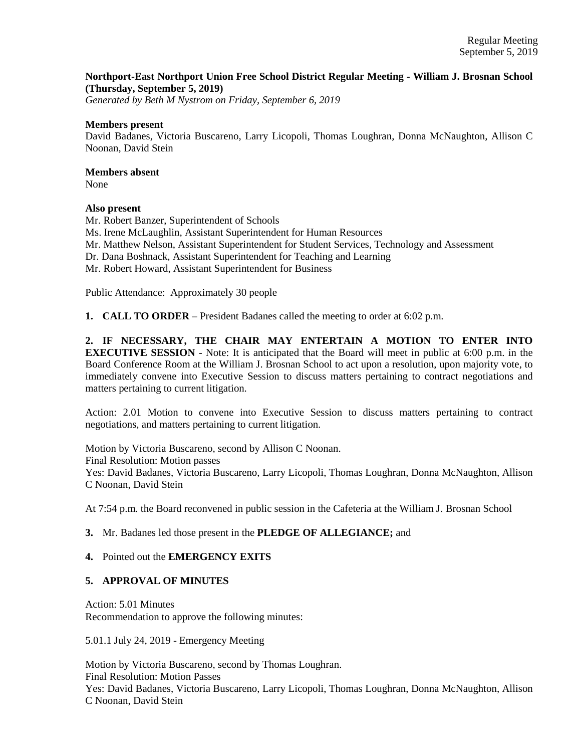# **Northport-East Northport Union Free School District Regular Meeting - William J. Brosnan School (Thursday, September 5, 2019)**

*Generated by Beth M Nystrom on Friday, September 6, 2019*

#### **Members present**

David Badanes, Victoria Buscareno, Larry Licopoli, Thomas Loughran, Donna McNaughton, Allison C Noonan, David Stein

# **Members absent**

None

### **Also present**

Mr. Robert Banzer, Superintendent of Schools Ms. Irene McLaughlin, Assistant Superintendent for Human Resources Mr. Matthew Nelson, Assistant Superintendent for Student Services, Technology and Assessment Dr. Dana Boshnack, Assistant Superintendent for Teaching and Learning Mr. Robert Howard, Assistant Superintendent for Business

Public Attendance: Approximately 30 people

**1. CALL TO ORDER** – President Badanes called the meeting to order at 6:02 p.m.

**2. IF NECESSARY, THE CHAIR MAY ENTERTAIN A MOTION TO ENTER INTO EXECUTIVE SESSION** - Note: It is anticipated that the Board will meet in public at 6:00 p.m. in the Board Conference Room at the William J. Brosnan School to act upon a resolution, upon majority vote, to immediately convene into Executive Session to discuss matters pertaining to contract negotiations and matters pertaining to current litigation.

Action: 2.01 Motion to convene into Executive Session to discuss matters pertaining to contract negotiations, and matters pertaining to current litigation.

Motion by Victoria Buscareno, second by Allison C Noonan. Final Resolution: Motion passes Yes: David Badanes, Victoria Buscareno, Larry Licopoli, Thomas Loughran, Donna McNaughton, Allison C Noonan, David Stein

At 7:54 p.m. the Board reconvened in public session in the Cafeteria at the William J. Brosnan School

### **3.** Mr. Badanes led those present in the **PLEDGE OF ALLEGIANCE;** and

### **4.** Pointed out the **EMERGENCY EXITS**

### **5. APPROVAL OF MINUTES**

Action: 5.01 Minutes Recommendation to approve the following minutes:

5.01.1 July 24, 2019 - Emergency Meeting

Motion by Victoria Buscareno, second by Thomas Loughran. Final Resolution: Motion Passes Yes: David Badanes, Victoria Buscareno, Larry Licopoli, Thomas Loughran, Donna McNaughton, Allison C Noonan, David Stein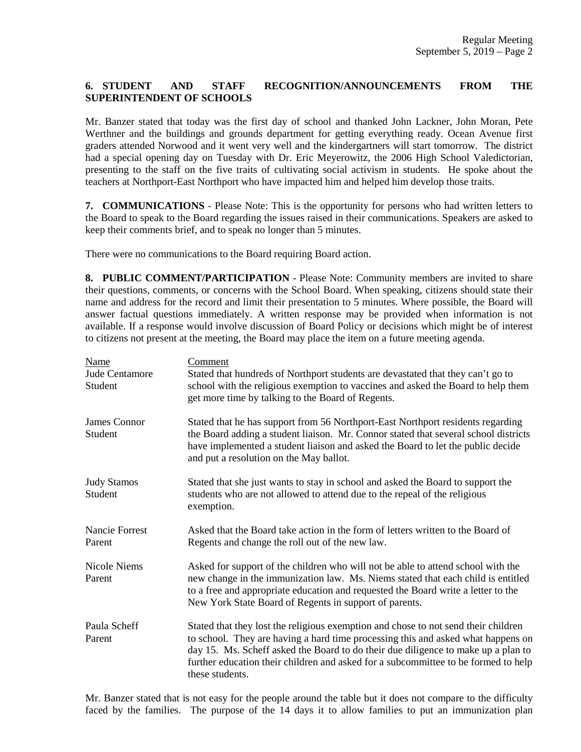# **6. STUDENT AND STAFF RECOGNITION/ANNOUNCEMENTS FROM THE SUPERINTENDENT OF SCHOOLS**

Mr. Banzer stated that today was the first day of school and thanked John Lackner, John Moran, Pete Werthner and the buildings and grounds department for getting everything ready. Ocean Avenue first graders attended Norwood and it went very well and the kindergartners will start tomorrow. The district had a special opening day on Tuesday with Dr. Eric Meyerowitz, the 2006 High School Valedictorian, presenting to the staff on the five traits of cultivating social activism in students. He spoke about the teachers at Northport-East Northport who have impacted him and helped him develop those traits.

**7. COMMUNICATIONS** - Please Note: This is the opportunity for persons who had written letters to the Board to speak to the Board regarding the issues raised in their communications. Speakers are asked to keep their comments brief, and to speak no longer than 5 minutes.

There were no communications to the Board requiring Board action.

**8. PUBLIC COMMENT/PARTICIPATION** - Please Note: Community members are invited to share their questions, comments, or concerns with the School Board. When speaking, citizens should state their name and address for the record and limit their presentation to 5 minutes. Where possible, the Board will answer factual questions immediately. A written response may be provided when information is not available. If a response would involve discussion of Board Policy or decisions which might be of interest to citizens not present at the meeting, the Board may place the item on a future meeting agenda.

| Name<br>Jude Centamore<br>Student | Comment<br>Stated that hundreds of Northport students are devastated that they can't go to<br>school with the religious exemption to vaccines and asked the Board to help them<br>get more time by talking to the Board of Regents.                                                                                                                                  |
|-----------------------------------|----------------------------------------------------------------------------------------------------------------------------------------------------------------------------------------------------------------------------------------------------------------------------------------------------------------------------------------------------------------------|
| <b>James Connor</b><br>Student    | Stated that he has support from 56 Northport-East Northport residents regarding<br>the Board adding a student liaison. Mr. Connor stated that several school districts<br>have implemented a student liaison and asked the Board to let the public decide<br>and put a resolution on the May ballot.                                                                 |
| <b>Judy Stamos</b><br>Student     | Stated that she just wants to stay in school and asked the Board to support the<br>students who are not allowed to attend due to the repeal of the religious<br>exemption.                                                                                                                                                                                           |
| <b>Nancie Forrest</b><br>Parent   | Asked that the Board take action in the form of letters written to the Board of<br>Regents and change the roll out of the new law.                                                                                                                                                                                                                                   |
| <b>Nicole Niems</b><br>Parent     | Asked for support of the children who will not be able to attend school with the<br>new change in the immunization law. Ms. Niems stated that each child is entitled<br>to a free and appropriate education and requested the Board write a letter to the<br>New York State Board of Regents in support of parents.                                                  |
| Paula Scheff<br>Parent            | Stated that they lost the religious exemption and chose to not send their children<br>to school. They are having a hard time processing this and asked what happens on<br>day 15. Ms. Scheff asked the Board to do their due diligence to make up a plan to<br>further education their children and asked for a subcommittee to be formed to help<br>these students. |

Mr. Banzer stated that is not easy for the people around the table but it does not compare to the difficulty faced by the families. The purpose of the 14 days it to allow families to put an immunization plan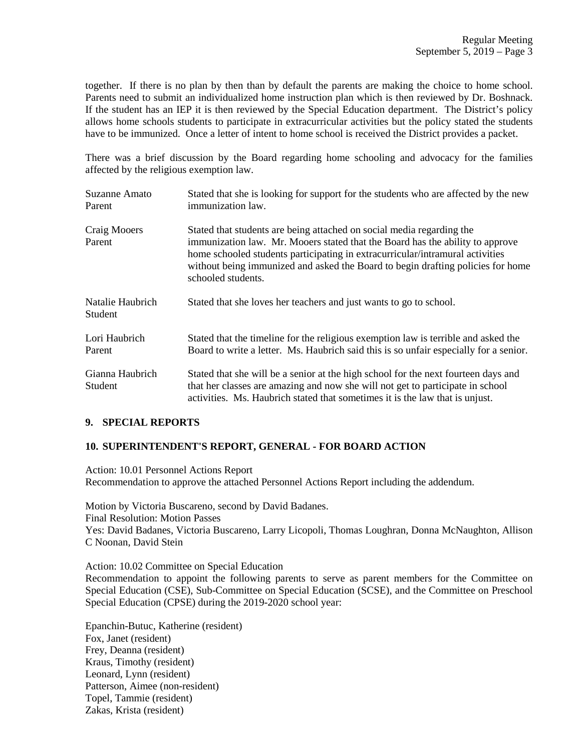together. If there is no plan by then than by default the parents are making the choice to home school. Parents need to submit an individualized home instruction plan which is then reviewed by Dr. Boshnack. If the student has an IEP it is then reviewed by the Special Education department. The District's policy allows home schools students to participate in extracurricular activities but the policy stated the students have to be immunized. Once a letter of intent to home school is received the District provides a packet.

There was a brief discussion by the Board regarding home schooling and advocacy for the families affected by the religious exemption law.

| Suzanne Amato<br>Parent     | Stated that she is looking for support for the students who are affected by the new<br>immunization law.                                                                                                                                                                                                                                         |
|-----------------------------|--------------------------------------------------------------------------------------------------------------------------------------------------------------------------------------------------------------------------------------------------------------------------------------------------------------------------------------------------|
| Craig Mooers<br>Parent      | Stated that students are being attached on social media regarding the<br>immunization law. Mr. Mooers stated that the Board has the ability to approve<br>home schooled students participating in extracurricular/intramural activities<br>without being immunized and asked the Board to begin drafting policies for home<br>schooled students. |
| Natalie Haubrich<br>Student | Stated that she loves her teachers and just wants to go to school.                                                                                                                                                                                                                                                                               |
| Lori Haubrich<br>Parent     | Stated that the timeline for the religious exemption law is terrible and asked the<br>Board to write a letter. Ms. Haubrich said this is so unfair especially for a senior.                                                                                                                                                                      |
| Gianna Haubrich<br>Student  | Stated that she will be a senior at the high school for the next fourteen days and<br>that her classes are amazing and now she will not get to participate in school<br>activities. Ms. Haubrich stated that sometimes it is the law that is unjust.                                                                                             |

### **9. SPECIAL REPORTS**

# **10. SUPERINTENDENT'S REPORT, GENERAL - FOR BOARD ACTION**

Action: 10.01 Personnel Actions Report Recommendation to approve the attached Personnel Actions Report including the addendum.

Motion by Victoria Buscareno, second by David Badanes. Final Resolution: Motion Passes Yes: David Badanes, Victoria Buscareno, Larry Licopoli, Thomas Loughran, Donna McNaughton, Allison C Noonan, David Stein

Action: 10.02 Committee on Special Education

Recommendation to appoint the following parents to serve as parent members for the Committee on Special Education (CSE), Sub-Committee on Special Education (SCSE), and the Committee on Preschool Special Education (CPSE) during the 2019-2020 school year:

Epanchin-Butuc, Katherine (resident) Fox, Janet (resident) Frey, Deanna (resident) Kraus, Timothy (resident) Leonard, Lynn (resident) Patterson, Aimee (non-resident) Topel, Tammie (resident) Zakas, Krista (resident)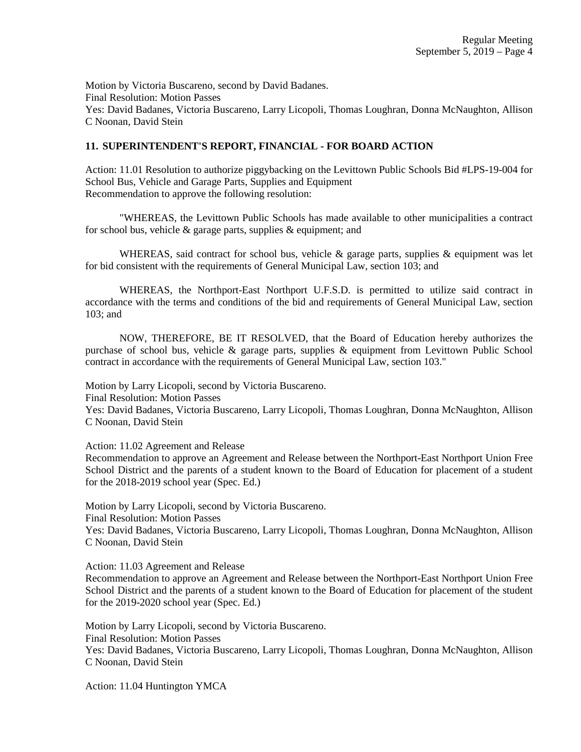Motion by Victoria Buscareno, second by David Badanes. Final Resolution: Motion Passes Yes: David Badanes, Victoria Buscareno, Larry Licopoli, Thomas Loughran, Donna McNaughton, Allison C Noonan, David Stein

# **11. SUPERINTENDENT'S REPORT, FINANCIAL - FOR BOARD ACTION**

Action: 11.01 Resolution to authorize piggybacking on the Levittown Public Schools Bid #LPS-19-004 for School Bus, Vehicle and Garage Parts, Supplies and Equipment Recommendation to approve the following resolution:

"WHEREAS, the Levittown Public Schools has made available to other municipalities a contract for school bus, vehicle  $\&$  garage parts, supplies  $\&$  equipment; and

WHEREAS, said contract for school bus, vehicle  $\&$  garage parts, supplies  $\&$  equipment was let for bid consistent with the requirements of General Municipal Law, section 103; and

WHEREAS, the Northport-East Northport U.F.S.D. is permitted to utilize said contract in accordance with the terms and conditions of the bid and requirements of General Municipal Law, section 103; and

NOW, THEREFORE, BE IT RESOLVED, that the Board of Education hereby authorizes the purchase of school bus, vehicle & garage parts, supplies & equipment from Levittown Public School contract in accordance with the requirements of General Municipal Law, section 103."

Motion by Larry Licopoli, second by Victoria Buscareno.

Final Resolution: Motion Passes

Yes: David Badanes, Victoria Buscareno, Larry Licopoli, Thomas Loughran, Donna McNaughton, Allison C Noonan, David Stein

Action: 11.02 Agreement and Release

Recommendation to approve an Agreement and Release between the Northport-East Northport Union Free School District and the parents of a student known to the Board of Education for placement of a student for the 2018-2019 school year (Spec. Ed.)

Motion by Larry Licopoli, second by Victoria Buscareno.

Final Resolution: Motion Passes

Yes: David Badanes, Victoria Buscareno, Larry Licopoli, Thomas Loughran, Donna McNaughton, Allison C Noonan, David Stein

Action: 11.03 Agreement and Release

Recommendation to approve an Agreement and Release between the Northport-East Northport Union Free School District and the parents of a student known to the Board of Education for placement of the student for the 2019-2020 school year (Spec. Ed.)

Motion by Larry Licopoli, second by Victoria Buscareno. Final Resolution: Motion Passes Yes: David Badanes, Victoria Buscareno, Larry Licopoli, Thomas Loughran, Donna McNaughton, Allison C Noonan, David Stein

Action: 11.04 Huntington YMCA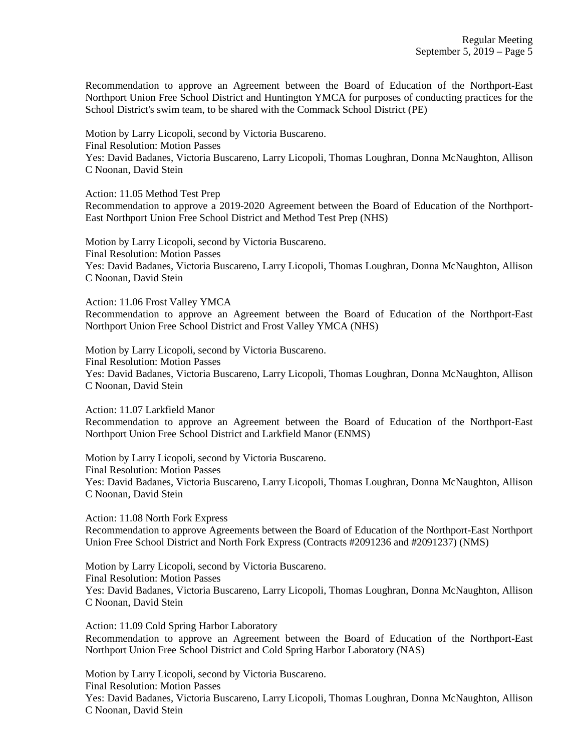Recommendation to approve an Agreement between the Board of Education of the Northport-East Northport Union Free School District and Huntington YMCA for purposes of conducting practices for the School District's swim team, to be shared with the Commack School District (PE)

Motion by Larry Licopoli, second by Victoria Buscareno. Final Resolution: Motion Passes Yes: David Badanes, Victoria Buscareno, Larry Licopoli, Thomas Loughran, Donna McNaughton, Allison C Noonan, David Stein

Action: 11.05 Method Test Prep

Recommendation to approve a 2019-2020 Agreement between the Board of Education of the Northport-East Northport Union Free School District and Method Test Prep (NHS)

Motion by Larry Licopoli, second by Victoria Buscareno. Final Resolution: Motion Passes Yes: David Badanes, Victoria Buscareno, Larry Licopoli, Thomas Loughran, Donna McNaughton, Allison C Noonan, David Stein

Action: 11.06 Frost Valley YMCA

Recommendation to approve an Agreement between the Board of Education of the Northport-East Northport Union Free School District and Frost Valley YMCA (NHS)

Motion by Larry Licopoli, second by Victoria Buscareno. Final Resolution: Motion Passes Yes: David Badanes, Victoria Buscareno, Larry Licopoli, Thomas Loughran, Donna McNaughton, Allison C Noonan, David Stein

Action: 11.07 Larkfield Manor

Recommendation to approve an Agreement between the Board of Education of the Northport-East Northport Union Free School District and Larkfield Manor (ENMS)

Motion by Larry Licopoli, second by Victoria Buscareno. Final Resolution: Motion Passes Yes: David Badanes, Victoria Buscareno, Larry Licopoli, Thomas Loughran, Donna McNaughton, Allison C Noonan, David Stein

Action: 11.08 North Fork Express Recommendation to approve Agreements between the Board of Education of the Northport-East Northport Union Free School District and North Fork Express (Contracts #2091236 and #2091237) (NMS)

Motion by Larry Licopoli, second by Victoria Buscareno. Final Resolution: Motion Passes Yes: David Badanes, Victoria Buscareno, Larry Licopoli, Thomas Loughran, Donna McNaughton, Allison C Noonan, David Stein

Action: 11.09 Cold Spring Harbor Laboratory Recommendation to approve an Agreement between the Board of Education of the Northport-East Northport Union Free School District and Cold Spring Harbor Laboratory (NAS)

Motion by Larry Licopoli, second by Victoria Buscareno. Final Resolution: Motion Passes Yes: David Badanes, Victoria Buscareno, Larry Licopoli, Thomas Loughran, Donna McNaughton, Allison C Noonan, David Stein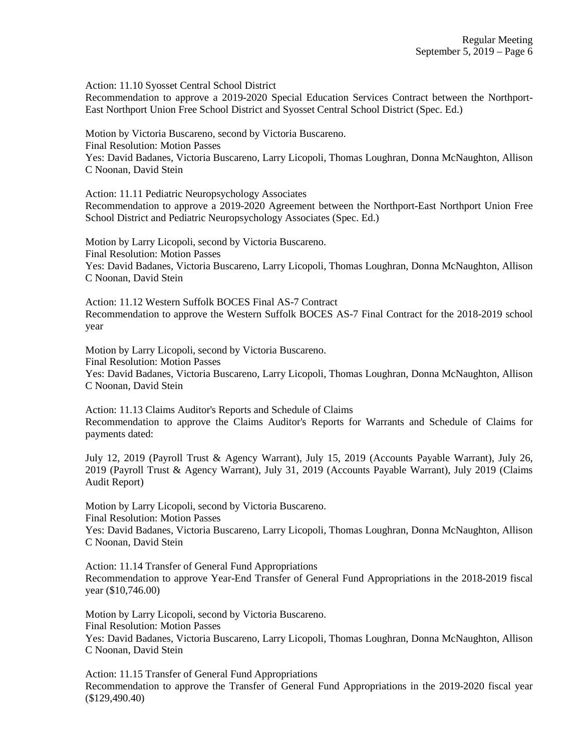Action: 11.10 Syosset Central School District

Recommendation to approve a 2019-2020 Special Education Services Contract between the Northport-East Northport Union Free School District and Syosset Central School District (Spec. Ed.)

Motion by Victoria Buscareno, second by Victoria Buscareno. Final Resolution: Motion Passes Yes: David Badanes, Victoria Buscareno, Larry Licopoli, Thomas Loughran, Donna McNaughton, Allison C Noonan, David Stein

Action: 11.11 Pediatric Neuropsychology Associates Recommendation to approve a 2019-2020 Agreement between the Northport-East Northport Union Free School District and Pediatric Neuropsychology Associates (Spec. Ed.)

Motion by Larry Licopoli, second by Victoria Buscareno. Final Resolution: Motion Passes Yes: David Badanes, Victoria Buscareno, Larry Licopoli, Thomas Loughran, Donna McNaughton, Allison C Noonan, David Stein

Action: 11.12 Western Suffolk BOCES Final AS-7 Contract Recommendation to approve the Western Suffolk BOCES AS-7 Final Contract for the 2018-2019 school year

Motion by Larry Licopoli, second by Victoria Buscareno. Final Resolution: Motion Passes Yes: David Badanes, Victoria Buscareno, Larry Licopoli, Thomas Loughran, Donna McNaughton, Allison C Noonan, David Stein

Action: 11.13 Claims Auditor's Reports and Schedule of Claims Recommendation to approve the Claims Auditor's Reports for Warrants and Schedule of Claims for payments dated:

July 12, 2019 (Payroll Trust & Agency Warrant), July 15, 2019 (Accounts Payable Warrant), July 26, 2019 (Payroll Trust & Agency Warrant), July 31, 2019 (Accounts Payable Warrant), July 2019 (Claims Audit Report)

Motion by Larry Licopoli, second by Victoria Buscareno. Final Resolution: Motion Passes

Yes: David Badanes, Victoria Buscareno, Larry Licopoli, Thomas Loughran, Donna McNaughton, Allison C Noonan, David Stein

Action: 11.14 Transfer of General Fund Appropriations Recommendation to approve Year-End Transfer of General Fund Appropriations in the 2018-2019 fiscal year (\$10,746.00)

Motion by Larry Licopoli, second by Victoria Buscareno. Final Resolution: Motion Passes Yes: David Badanes, Victoria Buscareno, Larry Licopoli, Thomas Loughran, Donna McNaughton, Allison C Noonan, David Stein

Action: 11.15 Transfer of General Fund Appropriations Recommendation to approve the Transfer of General Fund Appropriations in the 2019-2020 fiscal year (\$129,490.40)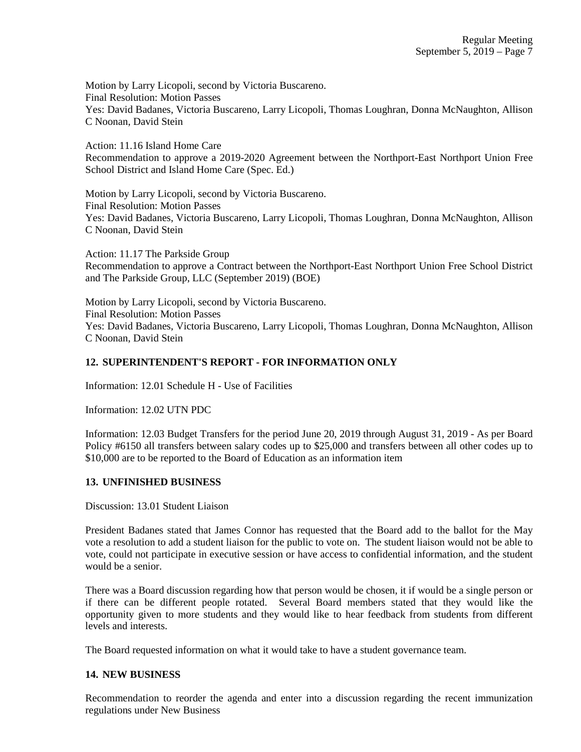Motion by Larry Licopoli, second by Victoria Buscareno. Final Resolution: Motion Passes Yes: David Badanes, Victoria Buscareno, Larry Licopoli, Thomas Loughran, Donna McNaughton, Allison C Noonan, David Stein

Action: 11.16 Island Home Care Recommendation to approve a 2019-2020 Agreement between the Northport-East Northport Union Free School District and Island Home Care (Spec. Ed.)

Motion by Larry Licopoli, second by Victoria Buscareno. Final Resolution: Motion Passes Yes: David Badanes, Victoria Buscareno, Larry Licopoli, Thomas Loughran, Donna McNaughton, Allison C Noonan, David Stein

Action: 11.17 The Parkside Group Recommendation to approve a Contract between the Northport-East Northport Union Free School District and The Parkside Group, LLC (September 2019) (BOE)

Motion by Larry Licopoli, second by Victoria Buscareno. Final Resolution: Motion Passes Yes: David Badanes, Victoria Buscareno, Larry Licopoli, Thomas Loughran, Donna McNaughton, Allison C Noonan, David Stein

### **12. SUPERINTENDENT'S REPORT - FOR INFORMATION ONLY**

Information: 12.01 Schedule H - Use of Facilities

Information: 12.02 UTN PDC

Information: 12.03 Budget Transfers for the period June 20, 2019 through August 31, 2019 - As per Board Policy #6150 all transfers between salary codes up to \$25,000 and transfers between all other codes up to \$10,000 are to be reported to the Board of Education as an information item

### **13. UNFINISHED BUSINESS**

Discussion: 13.01 Student Liaison

President Badanes stated that James Connor has requested that the Board add to the ballot for the May vote a resolution to add a student liaison for the public to vote on. The student liaison would not be able to vote, could not participate in executive session or have access to confidential information, and the student would be a senior.

There was a Board discussion regarding how that person would be chosen, it if would be a single person or if there can be different people rotated. Several Board members stated that they would like the opportunity given to more students and they would like to hear feedback from students from different levels and interests.

The Board requested information on what it would take to have a student governance team.

### **14. NEW BUSINESS**

Recommendation to reorder the agenda and enter into a discussion regarding the recent immunization regulations under New Business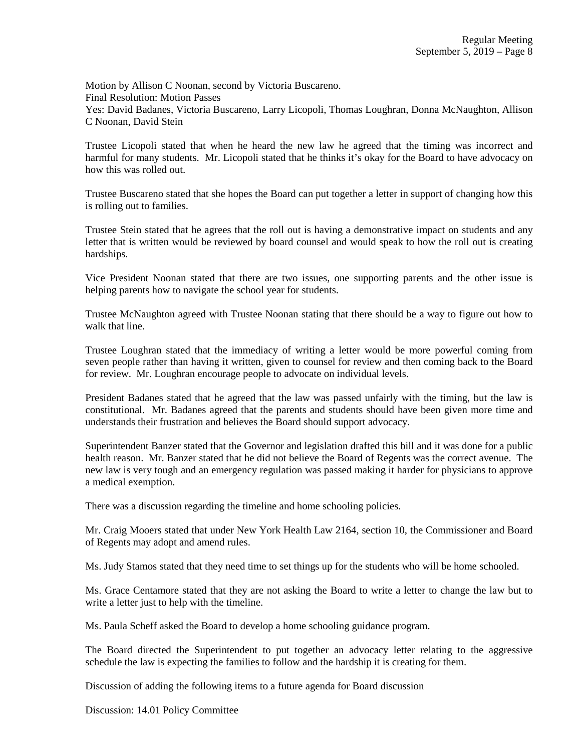Motion by Allison C Noonan, second by Victoria Buscareno. Final Resolution: Motion Passes Yes: David Badanes, Victoria Buscareno, Larry Licopoli, Thomas Loughran, Donna McNaughton, Allison C Noonan, David Stein

Trustee Licopoli stated that when he heard the new law he agreed that the timing was incorrect and harmful for many students. Mr. Licopoli stated that he thinks it's okay for the Board to have advocacy on how this was rolled out.

Trustee Buscareno stated that she hopes the Board can put together a letter in support of changing how this is rolling out to families.

Trustee Stein stated that he agrees that the roll out is having a demonstrative impact on students and any letter that is written would be reviewed by board counsel and would speak to how the roll out is creating hardships.

Vice President Noonan stated that there are two issues, one supporting parents and the other issue is helping parents how to navigate the school year for students.

Trustee McNaughton agreed with Trustee Noonan stating that there should be a way to figure out how to walk that line.

Trustee Loughran stated that the immediacy of writing a letter would be more powerful coming from seven people rather than having it written, given to counsel for review and then coming back to the Board for review. Mr. Loughran encourage people to advocate on individual levels.

President Badanes stated that he agreed that the law was passed unfairly with the timing, but the law is constitutional. Mr. Badanes agreed that the parents and students should have been given more time and understands their frustration and believes the Board should support advocacy.

Superintendent Banzer stated that the Governor and legislation drafted this bill and it was done for a public health reason. Mr. Banzer stated that he did not believe the Board of Regents was the correct avenue. The new law is very tough and an emergency regulation was passed making it harder for physicians to approve a medical exemption.

There was a discussion regarding the timeline and home schooling policies.

Mr. Craig Mooers stated that under New York Health Law 2164, section 10, the Commissioner and Board of Regents may adopt and amend rules.

Ms. Judy Stamos stated that they need time to set things up for the students who will be home schooled.

Ms. Grace Centamore stated that they are not asking the Board to write a letter to change the law but to write a letter just to help with the timeline.

Ms. Paula Scheff asked the Board to develop a home schooling guidance program.

The Board directed the Superintendent to put together an advocacy letter relating to the aggressive schedule the law is expecting the families to follow and the hardship it is creating for them.

Discussion of adding the following items to a future agenda for Board discussion

Discussion: 14.01 Policy Committee